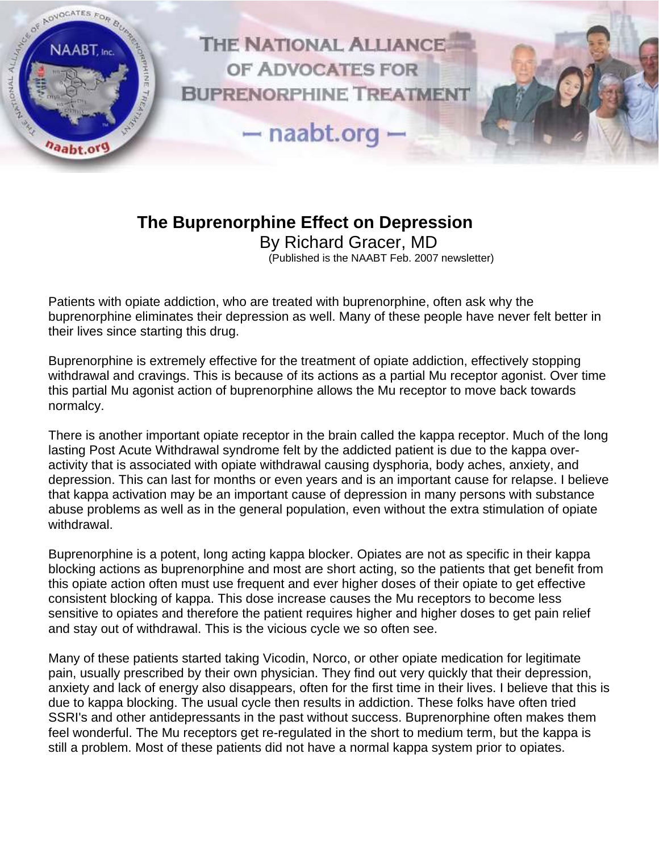

## **The Buprenorphine Effect on Depression**

By Richard Gracer, MD (Published is the NAABT Feb. 2007 newsletter)

Patients with opiate addiction, who are treated with buprenorphine, often ask why the buprenorphine eliminates their depression as well. Many of these people have never felt better in their lives since starting this drug.

Buprenorphine is extremely effective for the treatment of opiate addiction, effectively stopping withdrawal and cravings. This is because of its actions as a partial Mu receptor agonist. Over time this partial Mu agonist action of buprenorphine allows the Mu receptor to move back towards normalcy.

There is another important opiate receptor in the brain called the kappa receptor. Much of the long lasting Post Acute Withdrawal syndrome felt by the addicted patient is due to the kappa overactivity that is associated with opiate withdrawal causing dysphoria, body aches, anxiety, and depression. This can last for months or even years and is an important cause for relapse. I believe that kappa activation may be an important cause of depression in many persons with substance abuse problems as well as in the general population, even without the extra stimulation of opiate withdrawal.

Buprenorphine is a potent, long acting kappa blocker. Opiates are not as specific in their kappa blocking actions as buprenorphine and most are short acting, so the patients that get benefit from this opiate action often must use frequent and ever higher doses of their opiate to get effective consistent blocking of kappa. This dose increase causes the Mu receptors to become less sensitive to opiates and therefore the patient requires higher and higher doses to get pain relief and stay out of withdrawal. This is the vicious cycle we so often see.

Many of these patients started taking Vicodin, Norco, or other opiate medication for legitimate pain, usually prescribed by their own physician. They find out very quickly that their depression, anxiety and lack of energy also disappears, often for the first time in their lives. I believe that this is due to kappa blocking. The usual cycle then results in addiction. These folks have often tried SSRI's and other antidepressants in the past without success. Buprenorphine often makes them feel wonderful. The Mu receptors get re-regulated in the short to medium term, but the kappa is still a problem. Most of these patients did not have a normal kappa system prior to opiates.